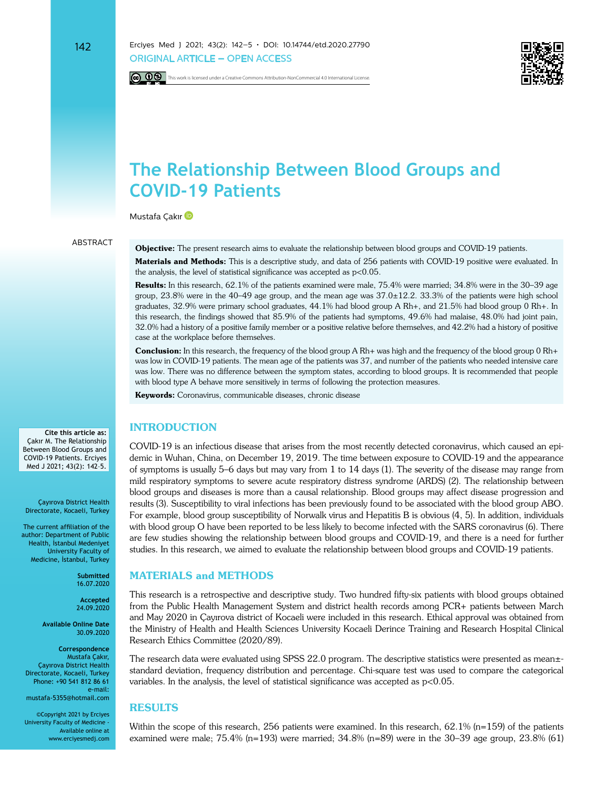



# **The Relationship Between Blood Groups and COVID-19 Patients**

MustafaÇakır<sup>D</sup>

#### **ARSTRACT**

**Objective:** The present research aims to evaluate the relationship between blood groups and COVID-19 patients.

**Materials and Methods:** This is a descriptive study, and data of 256 patients with COVID-19 positive were evaluated. In the analysis, the level of statistical significance was accepted as  $p<0.05$ .

Results: In this research, 62.1% of the patients examined were male, 75.4% were married; 34.8% were in the 30–39 age group, 23.8% were in the 40–49 age group, and the mean age was 37.0±12.2. 33.3% of the patients were high school graduates, 32.9% were primary school graduates, 44.1% had blood group A Rh+, and 21.5% had blood group 0 Rh+. In this research, the findings showed that 85.9% of the patients had symptoms, 49.6% had malaise, 48.0% had joint pain, 32.0% had a history of a positive family member or a positive relative before themselves, and 42.2% had a history of positive case at the workplace before themselves.

**Conclusion:** In this research, the frequency of the blood group A Rh+ was high and the frequency of the blood group 0 Rh+ was low in COVID-19 patients. The mean age of the patients was 37, and number of the patients who needed intensive care was low. There was no difference between the symptom states, according to blood groups. It is recommended that people with blood type A behave more sensitively in terms of following the protection measures.

**Keywords:** Coronavirus, communicable diseases, chronic disease

# **INTRODUCTION**

COVID-19 is an infectious disease that arises from the most recently detected coronavirus, which caused an epidemic in Wuhan, China, on December 19, 2019. The time between exposure to COVID-19 and the appearance of symptoms is usually 5–6 days but may vary from 1 to 14 days (1). The severity of the disease may range from mild respiratory symptoms to severe acute respiratory distress syndrome (ARDS) (2). The relationship between blood groups and diseases is more than a causal relationship. Blood groups may affect disease progression and results (3). Susceptibility to viral infections has been previously found to be associated with the blood group ABO. For example, blood group susceptibility of Norwalk virus and Hepatitis B is obvious (4, 5). In addition, individuals with blood group O have been reported to be less likely to become infected with the SARS coronavirus (6). There are few studies showing the relationship between blood groups and COVID-19, and there is a need for further studies. In this research, we aimed to evaluate the relationship between blood groups and COVID-19 patients.

# **MATERIALS and METHODS**

This research is a retrospective and descriptive study. Two hundred fifty-six patients with blood groups obtained from the Public Health Management System and district health records among PCR+ patients between March and May 2020 in Çayırova district of Kocaeli were included in this research. Ethical approval was obtained from the Ministry of Health and Health Sciences University Kocaeli Derince Training and Research Hospital Clinical Research Ethics Committee (2020/89).

The research data were evaluated using SPSS 22.0 program. The descriptive statistics were presented as mean±standard deviation, frequency distribution and percentage. Chi-square test was used to compare the categorical variables. In the analysis, the level of statistical significance was accepted as p<0.05.

#### **RESULTS**

Within the scope of this research, 256 patients were examined. In this research, 62.1% (n=159) of the patients examined were male; 75.4% (n=193) were married;  $34.8\%$  (n=89) were in the 30–39 age group,  $23.8\%$  (61)

**Cite this article as:** Çakır M. The Relationship Between Blood Groups and COVID-19 Patients. Erciyes Med J 2021; 43(2): 142–5.

Çayırova District Health Directorate, Kocaeli, Turkey

The current affiliation of the author: Department of Public Health, İstanbul Medeniyet University Faculty of Medicine, İstanbul, Turkey

> **Submitted** 16.07.2020

**Accepted** 24.09.2020

**Available Online Date** 30.09.2020

**Correspondence** Mustafa Çakır, Çayırova District Health Directorate, Kocaeli, Turkey Phone: +90 541 812 86 61 e-mail: mustafa-5355@hotmail.com

©Copyright 2021 by Erciyes University Faculty of Medicine - Available online at www.erciyesmedj.com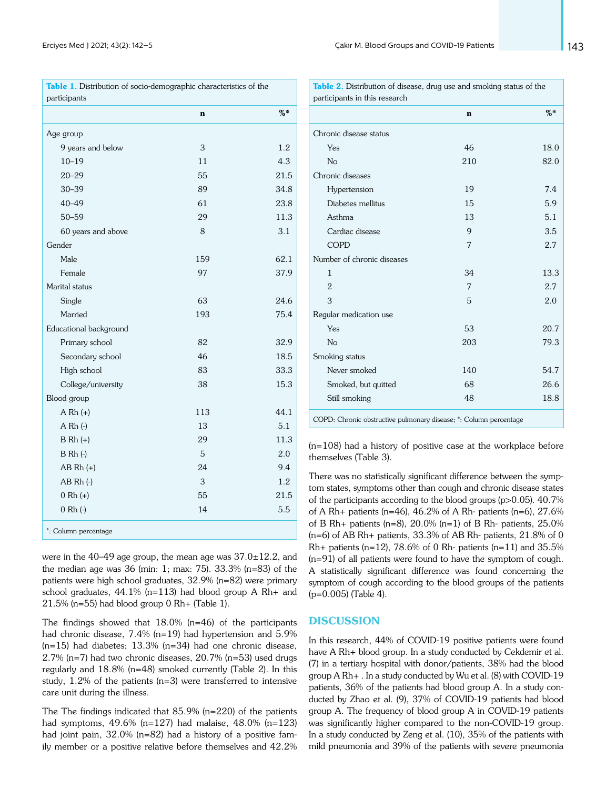|                        | $\mathbf n$ | $%$ * |
|------------------------|-------------|-------|
| Age group              |             |       |
| 9 years and below      | 3           | 1.2   |
| $10 - 19$              | 11          | 4.3   |
| $20 - 29$              | 55          | 21.5  |
| $30 - 39$              | 89          | 34.8  |
| $40 - 49$              | 61          | 23.8  |
| $50 - 59$              | 29          | 11.3  |
| 60 years and above     | 8           | 3.1   |
| Gender                 |             |       |
| Male                   | 159         | 62.1  |
| Female                 | 97          | 37.9  |
| Marital status         |             |       |
| Single                 | 63          | 24.6  |
| Married                | 193         | 75.4  |
| Educational background |             |       |
| Primary school         | 82          | 32.9  |
| Secondary school       | 46          | 18.5  |
| High school            | 83          | 33.3  |
| College/university     | 38          | 15.3  |
| Blood group            |             |       |
| $A Rh (+)$             | 113         | 44.1  |
| $A Rh (-)$             | 13          | 5.1   |
| $B Rh (+)$             | 29          | 11.3  |
| $B Rh (-)$             | 5           | 2.0   |
| $AB Rh (+)$            | 24          | 9.4   |
| $AB Rh$ $(-)$          | 3           | 1.2   |
| $0 Rh (+)$             | 55          | 21.5  |
| $0 Rh (-)$             | 14          | 5.5   |
| *: Column percentage   |             |       |

were in the  $40-49$  age group, the mean age was  $37.0\pm12.2$ , and the median age was 36 (min: 1; max: 75). 33.3% (n=83) of the patients were high school graduates, 32.9% (n=82) were primary school graduates, 44.1% (n=113) had blood group A Rh+ and 21.5% (n=55) had blood group 0 Rh+ (Table 1).

The findings showed that 18.0% (n=46) of the participants had chronic disease, 7.4% (n=19) had hypertension and 5.9%  $(n=15)$  had diabetes;  $13.3\%$   $(n=34)$  had one chronic disease, 2.7% (n=7) had two chronic diseases, 20.7% (n=53) used drugs regularly and 18.8% (n=48) smoked currently (Table 2). In this study,  $1.2\%$  of the patients (n=3) were transferred to intensive care unit during the illness.

The The findings indicated that 85.9% (n=220) of the patients had symptoms, 49.6% (n=127) had malaise, 48.0% (n=123) had joint pain, 32.0% (n=82) had a history of a positive family member or a positive relative before themselves and 42.2%

|                            | $\mathbf n$ | $%$ * |  |  |
|----------------------------|-------------|-------|--|--|
| Chronic disease status     |             |       |  |  |
| Yes                        | 46          | 18.0  |  |  |
| No                         | 210         | 82.0  |  |  |
| Chronic diseases           |             |       |  |  |
| Hypertension               | 19          | 7.4   |  |  |
| Diabetes mellitus          | 15          | 5.9   |  |  |
| Asthma                     | 13          | 5.1   |  |  |
| Cardiac disease            | 9           | 3.5   |  |  |
| <b>COPD</b>                | 7           | 2.7   |  |  |
| Number of chronic diseases |             |       |  |  |
| 1                          | 34          | 13.3  |  |  |
| $\overline{2}$             | 7           | 2.7   |  |  |
| 3                          | 5           | 2.0   |  |  |
| Regular medication use     |             |       |  |  |
| Yes                        | 53          | 20.7  |  |  |
| N <sub>o</sub>             | 203         | 79.3  |  |  |
| Smoking status             |             |       |  |  |
| Never smoked               | 140         | 54.7  |  |  |
| Smoked, but quitted        | 68          | 26.6  |  |  |
| Still smoking              | 48          | 18.8  |  |  |

(n=108) had a history of positive case at the workplace before themselves (Table 3).

There was no statistically significant difference between the symptom states, symptoms other than cough and chronic disease states of the participants according to the blood groups (p>0.05). 40.7% of A Rh+ patients (n=46), 46.2% of A Rh- patients (n=6),  $27.6\%$ of B Rh+ patients (n=8), 20.0% (n=1) of B Rh- patients, 25.0% (n=6) of AB Rh+ patients, 33.3% of AB Rh- patients, 21.8% of 0  $Rh$ + patients (n=12), 78.6% of 0 Rh- patients (n=11) and 35.5% (n=91) of all patients were found to have the symptom of cough. A statistically significant difference was found concerning the symptom of cough according to the blood groups of the patients (p=0.005) (Table 4).

### **DISCUSSION**

In this research, 44% of COVID-19 positive patients were found have A Rh+ blood group. In a study conducted by Cekdemir et al. (7) in a tertiary hospital with donor/patients, 38% had the blood group A Rh+ . In a study conducted by Wu et al. (8) with COVID-19 patients, 36% of the patients had blood group A. In a study conducted by Zhao et al. (9), 37% of COVID-19 patients had blood group A. The frequency of blood group A in COVID-19 patients was significantly higher compared to the non-COVID-19 group. In a study conducted by Zeng et al. (10), 35% of the patients with mild pneumonia and 39% of the patients with severe pneumonia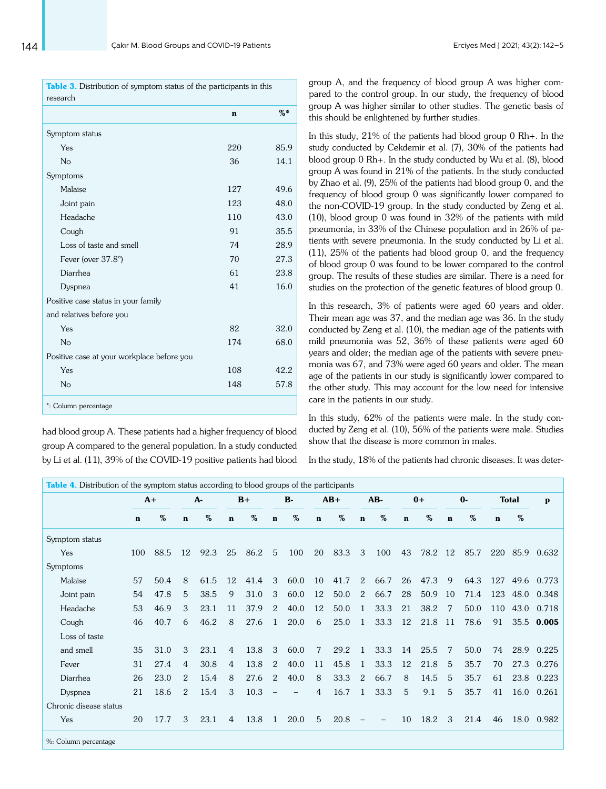| Table 3. Distribution of symptom status of the participants in this<br>research |     |       |  |  |  |  |  |  |  |
|---------------------------------------------------------------------------------|-----|-------|--|--|--|--|--|--|--|
|                                                                                 | n   | $%$ * |  |  |  |  |  |  |  |
| Symptom status                                                                  |     |       |  |  |  |  |  |  |  |
| Yes                                                                             | 220 | 85.9  |  |  |  |  |  |  |  |
| No                                                                              | 36  | 14.1  |  |  |  |  |  |  |  |
| Symptoms                                                                        |     |       |  |  |  |  |  |  |  |
| Malaise                                                                         | 127 | 49.6  |  |  |  |  |  |  |  |
| Joint pain                                                                      | 123 | 48.0  |  |  |  |  |  |  |  |
| Headache                                                                        | 110 | 43.0  |  |  |  |  |  |  |  |
| Cough                                                                           | 91  | 35.5  |  |  |  |  |  |  |  |
| Loss of taste and smell                                                         | 74  | 28.9  |  |  |  |  |  |  |  |
| Fever (over 37.8°)                                                              | 70  | 27.3  |  |  |  |  |  |  |  |
| Diarrhea                                                                        | 61  | 23.8  |  |  |  |  |  |  |  |
| Dyspnea                                                                         | 41  | 16.0  |  |  |  |  |  |  |  |
| Positive case status in your family                                             |     |       |  |  |  |  |  |  |  |
| and relatives before you                                                        |     |       |  |  |  |  |  |  |  |
| Yes                                                                             | 82  | 32.0  |  |  |  |  |  |  |  |
| No                                                                              | 174 | 68.0  |  |  |  |  |  |  |  |
| Positive case at your workplace before you                                      |     |       |  |  |  |  |  |  |  |
| Yes                                                                             | 108 | 42.2  |  |  |  |  |  |  |  |
| N <sub>o</sub>                                                                  | 148 | 57.8  |  |  |  |  |  |  |  |
| *: Column percentage                                                            |     |       |  |  |  |  |  |  |  |

had blood group A. These patients had a higher frequency of blood group A compared to the general population. In a study conducted by Li et al. (11), 39% of the COVID-19 positive patients had blood group A, and the frequency of blood group A was higher compared to the control group. In our study, the frequency of blood group A was higher similar to other studies. The genetic basis of this should be enlightened by further studies.

In this study, 21% of the patients had blood group 0 Rh+. In the study conducted by Cekdemir et al. (7), 30% of the patients had blood group 0 Rh+. In the study conducted by Wu et al. (8), blood group A was found in 21% of the patients. In the study conducted by Zhao et al. (9), 25% of the patients had blood group 0, and the frequency of blood group 0 was significantly lower compared to the non-COVID-19 group. In the study conducted by Zeng et al. (10), blood group 0 was found in 32% of the patients with mild pneumonia, in 33% of the Chinese population and in 26% of patients with severe pneumonia. In the study conducted by Li et al. (11), 25% of the patients had blood group 0, and the frequency of blood group 0 was found to be lower compared to the control group. The results of these studies are similar. There is a need for studies on the protection of the genetic features of blood group 0.

In this research, 3% of patients were aged 60 years and older. Their mean age was 37, and the median age was 36. In the study conducted by Zeng et al. (10), the median age of the patients with mild pneumonia was 52, 36% of these patients were aged 60 years and older; the median age of the patients with severe pneumonia was 67, and 73% were aged 60 years and older. The mean age of the patients in our study is significantly lower compared to the other study. This may account for the low need for intensive care in the patients in our study.

In this study, 62% of the patients were male. In the study conducted by Zeng et al. (10), 56% of the patients were male. Studies show that the disease is more common in males.

In the study, 18% of the patients had chronic diseases. It was deter-

| $\mathbf n$<br>Symptom status<br>Yes<br>100<br>Symptoms<br>Malaise<br>57<br>54<br>Joint pain | $\%$<br>88.5<br>50.4 | $\mathbf n$<br>12<br>8 | $\%$<br>92.3 | $\mathbf n$<br>25 | $\%$<br>86.2 | $\mathbf n$  | $\%$ | $\mathbf n$ | %    | $\mathbf n$    | %                 | $\mathbf n$ | %    | $\mathbf n$   | $\%$ | $\mathbf n$ | %    |            |
|----------------------------------------------------------------------------------------------|----------------------|------------------------|--------------|-------------------|--------------|--------------|------|-------------|------|----------------|-------------------|-------------|------|---------------|------|-------------|------|------------|
|                                                                                              |                      |                        |              |                   |              |              |      |             |      |                |                   |             |      |               |      |             |      |            |
|                                                                                              |                      |                        |              |                   |              |              |      |             |      |                |                   |             |      |               |      |             |      |            |
|                                                                                              |                      |                        |              |                   |              | 5            | 100  | 20          | 83.3 | 3              | 100               | 43          | 78.2 | <sup>12</sup> | 85.7 | 220         | 85.9 | 0.632      |
|                                                                                              |                      |                        |              |                   |              |              |      |             |      |                |                   |             |      |               |      |             |      |            |
|                                                                                              |                      |                        | 61.5         | 12                | 41.4         | 3            | 60.0 | 10          | 41.7 | 2              | 66.7              | 26          | 47.3 | 9             | 64.3 | 127         | 49.6 | 0.773      |
|                                                                                              | 47.8                 | 5                      | 38.5         | 9                 | 31.0         | 3            | 60.0 | 12          | 50.0 | 2              | 66.7              | 28          | 50.9 | 10            | 71.4 | 123         | 48.0 | 0.348      |
| 53<br>Headache                                                                               | 46.9                 | 3                      | 23.1         | 11                | 37.9         | 2            | 40.0 | 12          | 50.0 | $\mathbf{1}$   | 33.3              | 21          | 38.2 | 7             | 50.0 | 110         | 43.0 | 0.718      |
| 46<br>Cough                                                                                  | 40.7                 | 6                      | 46.2         | 8                 | 27.6         | $\mathbf{1}$ | 20.0 | 6           | 25.0 | $\mathbf{1}$   | 33.3              | 12          | 21.8 | 11            | 78.6 | 91          |      | 35.5 0.005 |
| Loss of taste                                                                                |                      |                        |              |                   |              |              |      |             |      |                |                   |             |      |               |      |             |      |            |
| 35<br>and smell                                                                              | 31.0                 | 3                      | 23.1         | 4                 | 13.8         | 3            | 60.0 | 7           | 29.2 | $\overline{1}$ | 33.3              | 14          | 25.5 | 7             | 50.0 | 74          | 28.9 | 0.225      |
| 31<br>Fever                                                                                  | 27.4                 | 4                      | 30.8         | 4                 | 13.8         | 2            | 40.0 | 11          | 45.8 | -1             | 33.3              | 12          | 21.8 | 5             | 35.7 | 70          | 27.3 | 0.276      |
| 26<br>Diarrhea                                                                               | 23.0                 | 2                      | 15.4         | 8                 | 27.6         | 2            | 40.0 | 8           | 33.3 | 2              | 66.7              | 8           | 14.5 | 5             | 35.7 | 61          | 23.8 | 0.223      |
| 21<br>Dyspnea                                                                                | 18.6                 | 2                      | 15.4         | 3                 | 10.3         |              | -    | 4           | 16.7 | 1              | 33.3              | 5           | 9.1  | 5             | 35.7 | 41          | 16.0 | 0.261      |
| Chronic disease status                                                                       |                      |                        |              |                   |              |              |      |             |      |                |                   |             |      |               |      |             |      |            |
| 20<br>Yes                                                                                    | 17.7                 | 3                      | 23.1         | 4                 | 13.8         | 1            | 20.0 | 5           | 20.8 | $-$            | $\qquad \qquad -$ | 10          | 18.2 | 3             | 21.4 | 46          | 18.0 | 0.982      |